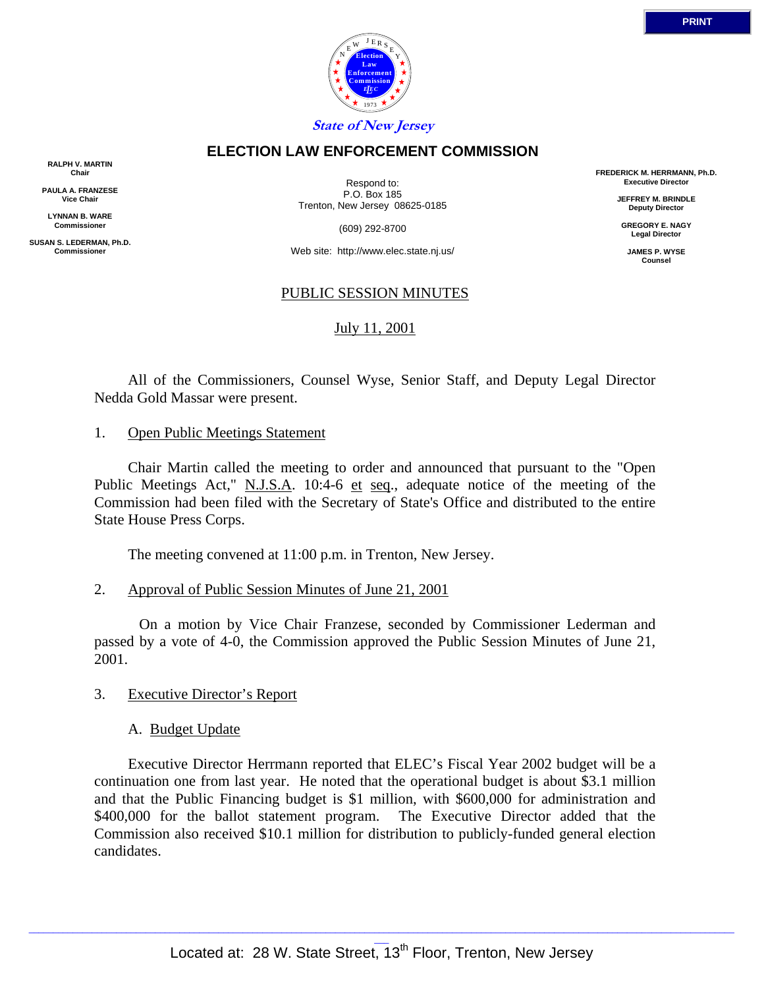

### **ELECTION LAW ENFORCEMENT COMMISSION**

**RALPH V. MARTIN Chair**

**PAULA A. FRANZESE Vice Chair**

**LYNNAN B. WARE Commissioner**

**SUSAN S. LEDERMAN, Ph.D. Commissioner**

Respond to: P.O. Box 185 Trenton, New Jersey 08625-0185

(609) 292-8700

Web site: http://www.elec.state.nj.us/

### PUBLIC SESSION MINUTES

### July 11, 2001

 All of the Commissioners, Counsel Wyse, Senior Staff, and Deputy Legal Director Nedda Gold Massar were present.

### 1. Open Public Meetings Statement

 Chair Martin called the meeting to order and announced that pursuant to the "Open Public Meetings Act," N.J.S.A. 10:4-6 et seq., adequate notice of the meeting of the Commission had been filed with the Secretary of State's Office and distributed to the entire State House Press Corps.

The meeting convened at 11:00 p.m. in Trenton, New Jersey.

### 2. Approval of Public Session Minutes of June 21, 2001

 On a motion by Vice Chair Franzese, seconded by Commissioner Lederman and passed by a vote of 4-0, the Commission approved the Public Session Minutes of June 21, 2001.

### 3. Executive Director's Report

### A. Budget Update

 Executive Director Herrmann reported that ELEC's Fiscal Year 2002 budget will be a continuation one from last year. He noted that the operational budget is about \$3.1 million and that the Public Financing budget is \$1 million, with \$600,000 for administration and \$400,000 for the ballot statement program. The Executive Director added that the Commission also received \$10.1 million for distribution to publicly-funded general election candidates.

**FREDERICK M. HERRMANN, Ph.D. Executive Director**

> **JEFFREY M. BRINDLE Deputy Director**

**GREGORY E. NAGY Legal Director**

**JAMES P. WYSE Counsel**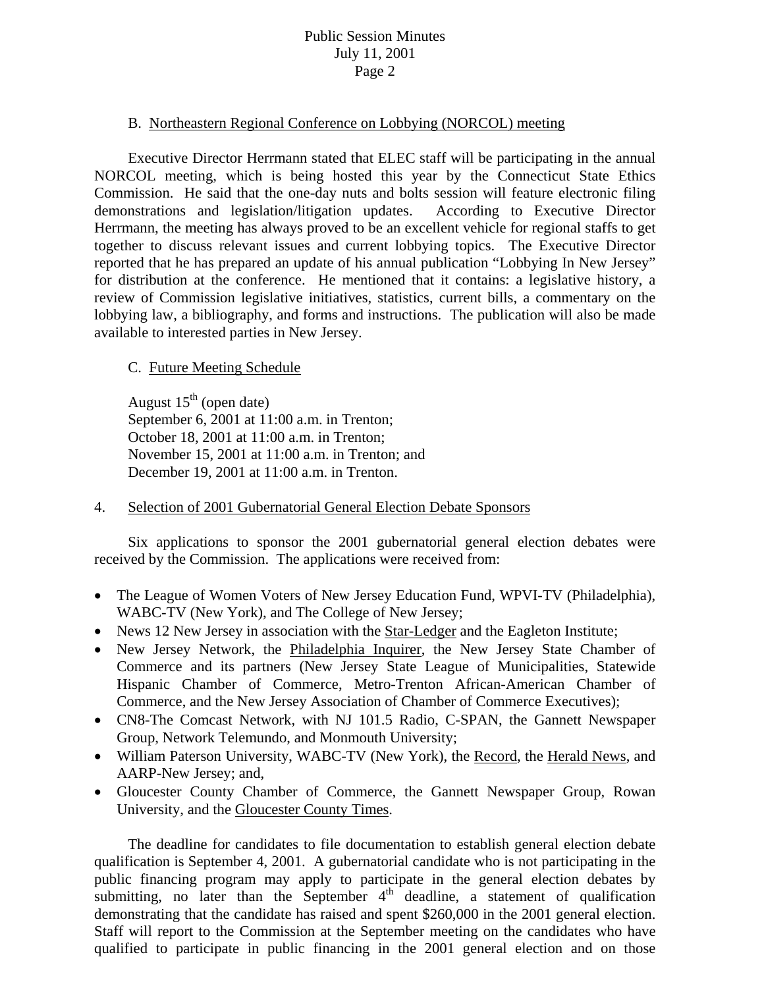## B. Northeastern Regional Conference on Lobbying (NORCOL) meeting

 Executive Director Herrmann stated that ELEC staff will be participating in the annual NORCOL meeting, which is being hosted this year by the Connecticut State Ethics Commission. He said that the one-day nuts and bolts session will feature electronic filing demonstrations and legislation/litigation updates. According to Executive Director Herrmann, the meeting has always proved to be an excellent vehicle for regional staffs to get together to discuss relevant issues and current lobbying topics. The Executive Director reported that he has prepared an update of his annual publication "Lobbying In New Jersey" for distribution at the conference. He mentioned that it contains: a legislative history, a review of Commission legislative initiatives, statistics, current bills, a commentary on the lobbying law, a bibliography, and forms and instructions. The publication will also be made available to interested parties in New Jersey.

### C. Future Meeting Schedule

August  $15<sup>th</sup>$  (open date) September 6, 2001 at 11:00 a.m. in Trenton; October 18, 2001 at 11:00 a.m. in Trenton; November 15, 2001 at 11:00 a.m. in Trenton; and December 19, 2001 at 11:00 a.m. in Trenton.

### 4. Selection of 2001 Gubernatorial General Election Debate Sponsors

 Six applications to sponsor the 2001 gubernatorial general election debates were received by the Commission. The applications were received from:

- The League of Women Voters of New Jersey Education Fund, WPVI-TV (Philadelphia), WABC-TV (New York), and The College of New Jersey;
- News 12 New Jersey in association with the Star-Ledger and the Eagleton Institute;
- New Jersey Network, the Philadelphia Inquirer, the New Jersey State Chamber of Commerce and its partners (New Jersey State League of Municipalities, Statewide Hispanic Chamber of Commerce, Metro-Trenton African-American Chamber of Commerce, and the New Jersey Association of Chamber of Commerce Executives);
- CN8-The Comcast Network, with NJ 101.5 Radio, C-SPAN, the Gannett Newspaper Group, Network Telemundo, and Monmouth University;
- William Paterson University, WABC-TV (New York), the Record, the Herald News, and AARP-New Jersey; and,
- Gloucester County Chamber of Commerce, the Gannett Newspaper Group, Rowan University, and the Gloucester County Times.

 The deadline for candidates to file documentation to establish general election debate qualification is September 4, 2001. A gubernatorial candidate who is not participating in the public financing program may apply to participate in the general election debates by submitting, no later than the September  $4<sup>th</sup>$  deadline, a statement of qualification demonstrating that the candidate has raised and spent \$260,000 in the 2001 general election. Staff will report to the Commission at the September meeting on the candidates who have qualified to participate in public financing in the 2001 general election and on those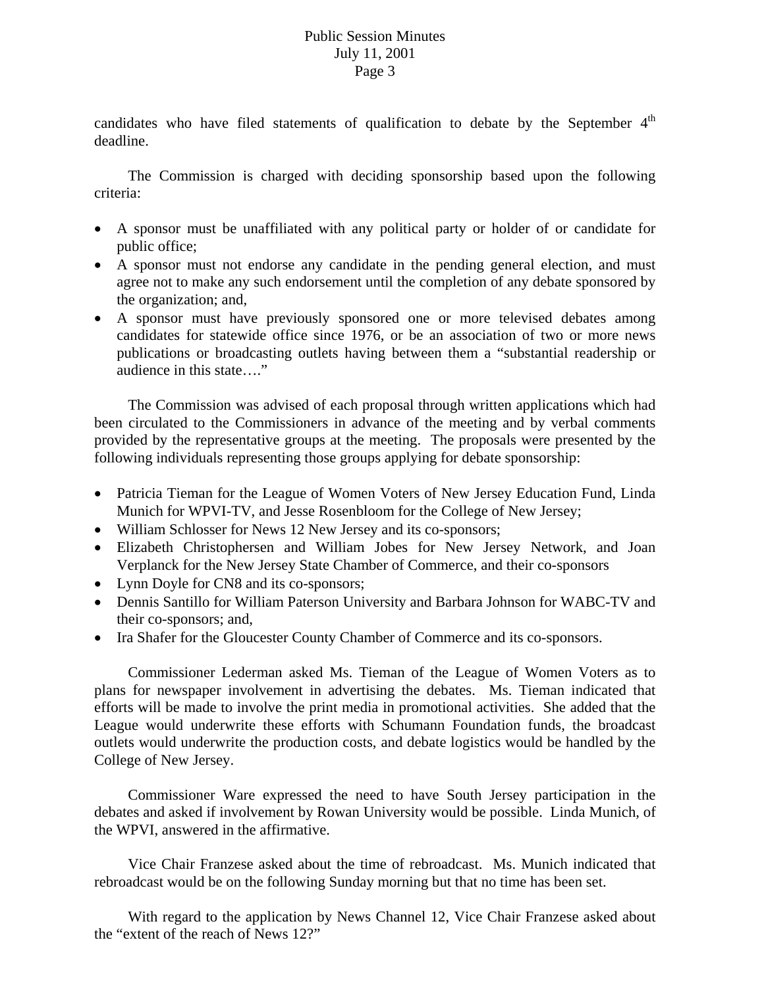candidates who have filed statements of qualification to debate by the September  $4<sup>th</sup>$ deadline.

 The Commission is charged with deciding sponsorship based upon the following criteria:

- A sponsor must be unaffiliated with any political party or holder of or candidate for public office;
- A sponsor must not endorse any candidate in the pending general election, and must agree not to make any such endorsement until the completion of any debate sponsored by the organization; and,
- A sponsor must have previously sponsored one or more televised debates among candidates for statewide office since 1976, or be an association of two or more news publications or broadcasting outlets having between them a "substantial readership or audience in this state…."

 The Commission was advised of each proposal through written applications which had been circulated to the Commissioners in advance of the meeting and by verbal comments provided by the representative groups at the meeting. The proposals were presented by the following individuals representing those groups applying for debate sponsorship:

- Patricia Tieman for the League of Women Voters of New Jersey Education Fund, Linda Munich for WPVI-TV, and Jesse Rosenbloom for the College of New Jersey;
- William Schlosser for News 12 New Jersey and its co-sponsors;
- Elizabeth Christophersen and William Jobes for New Jersey Network, and Joan Verplanck for the New Jersey State Chamber of Commerce, and their co-sponsors
- Lynn Doyle for CN8 and its co-sponsors;
- Dennis Santillo for William Paterson University and Barbara Johnson for WABC-TV and their co-sponsors; and,
- Ira Shafer for the Gloucester County Chamber of Commerce and its co-sponsors.

 Commissioner Lederman asked Ms. Tieman of the League of Women Voters as to plans for newspaper involvement in advertising the debates. Ms. Tieman indicated that efforts will be made to involve the print media in promotional activities. She added that the League would underwrite these efforts with Schumann Foundation funds, the broadcast outlets would underwrite the production costs, and debate logistics would be handled by the College of New Jersey.

 Commissioner Ware expressed the need to have South Jersey participation in the debates and asked if involvement by Rowan University would be possible. Linda Munich, of the WPVI, answered in the affirmative.

 Vice Chair Franzese asked about the time of rebroadcast. Ms. Munich indicated that rebroadcast would be on the following Sunday morning but that no time has been set.

 With regard to the application by News Channel 12, Vice Chair Franzese asked about the "extent of the reach of News 12?"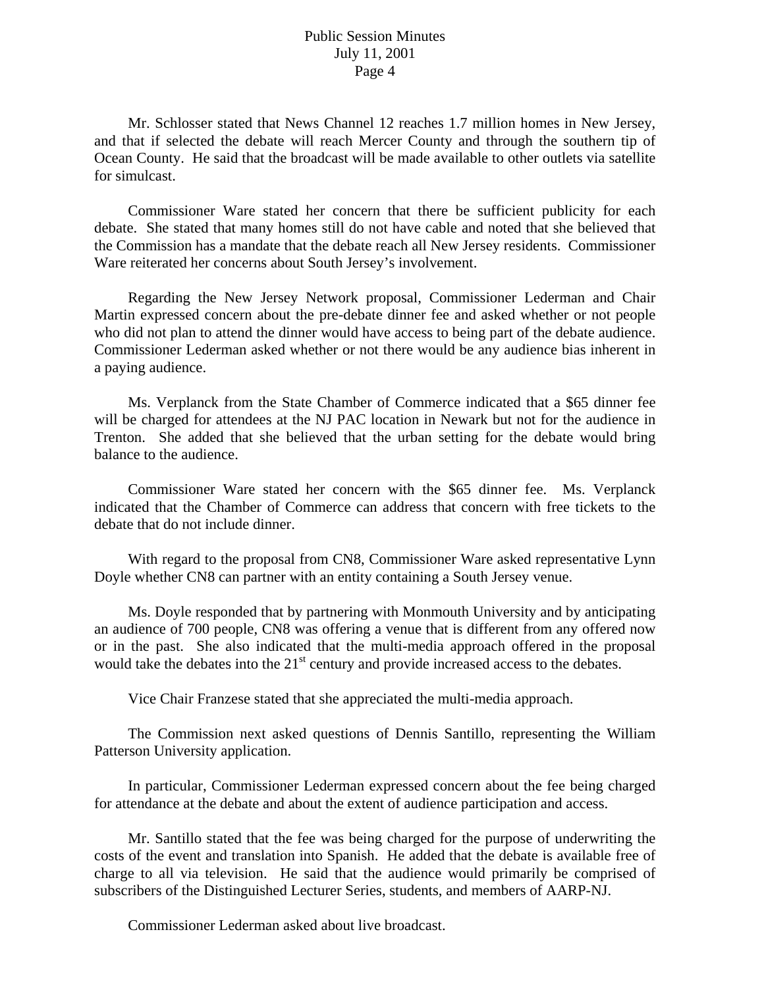Mr. Schlosser stated that News Channel 12 reaches 1.7 million homes in New Jersey, and that if selected the debate will reach Mercer County and through the southern tip of Ocean County. He said that the broadcast will be made available to other outlets via satellite for simulcast.

 Commissioner Ware stated her concern that there be sufficient publicity for each debate. She stated that many homes still do not have cable and noted that she believed that the Commission has a mandate that the debate reach all New Jersey residents. Commissioner Ware reiterated her concerns about South Jersey's involvement.

 Regarding the New Jersey Network proposal, Commissioner Lederman and Chair Martin expressed concern about the pre-debate dinner fee and asked whether or not people who did not plan to attend the dinner would have access to being part of the debate audience. Commissioner Lederman asked whether or not there would be any audience bias inherent in a paying audience.

 Ms. Verplanck from the State Chamber of Commerce indicated that a \$65 dinner fee will be charged for attendees at the NJ PAC location in Newark but not for the audience in Trenton. She added that she believed that the urban setting for the debate would bring balance to the audience.

 Commissioner Ware stated her concern with the \$65 dinner fee. Ms. Verplanck indicated that the Chamber of Commerce can address that concern with free tickets to the debate that do not include dinner.

 With regard to the proposal from CN8, Commissioner Ware asked representative Lynn Doyle whether CN8 can partner with an entity containing a South Jersey venue.

 Ms. Doyle responded that by partnering with Monmouth University and by anticipating an audience of 700 people, CN8 was offering a venue that is different from any offered now or in the past. She also indicated that the multi-media approach offered in the proposal would take the debates into the  $21<sup>st</sup>$  century and provide increased access to the debates.

Vice Chair Franzese stated that she appreciated the multi-media approach.

 The Commission next asked questions of Dennis Santillo, representing the William Patterson University application.

 In particular, Commissioner Lederman expressed concern about the fee being charged for attendance at the debate and about the extent of audience participation and access.

 Mr. Santillo stated that the fee was being charged for the purpose of underwriting the costs of the event and translation into Spanish. He added that the debate is available free of charge to all via television. He said that the audience would primarily be comprised of subscribers of the Distinguished Lecturer Series, students, and members of AARP-NJ.

Commissioner Lederman asked about live broadcast.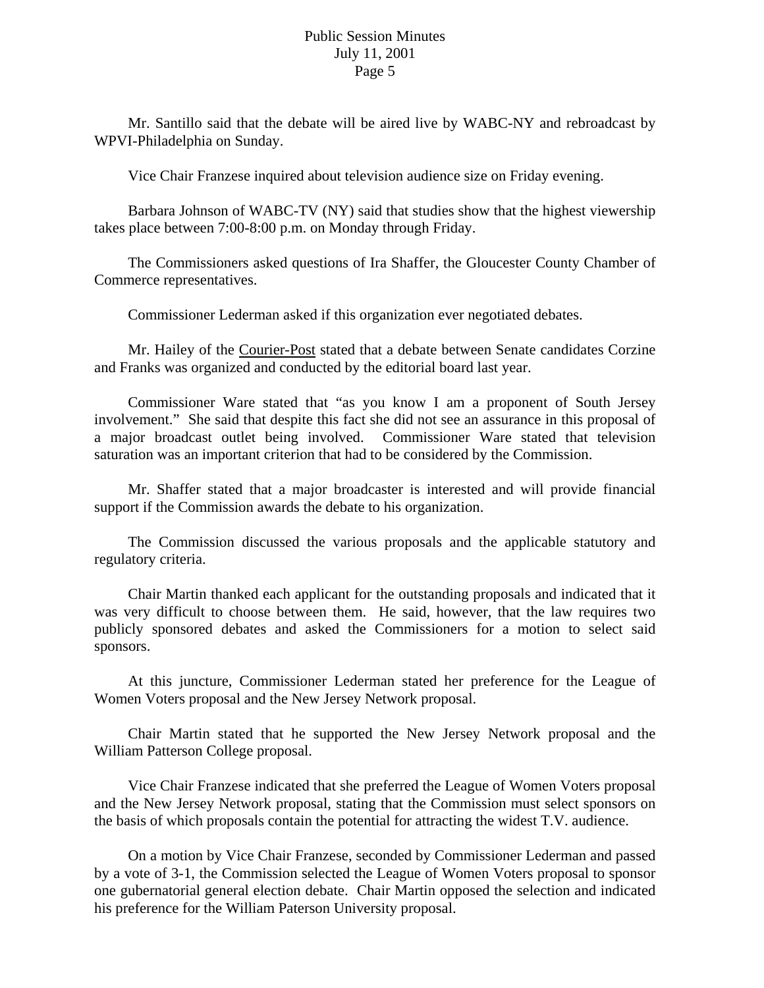Mr. Santillo said that the debate will be aired live by WABC-NY and rebroadcast by WPVI-Philadelphia on Sunday.

Vice Chair Franzese inquired about television audience size on Friday evening.

 Barbara Johnson of WABC-TV (NY) said that studies show that the highest viewership takes place between 7:00-8:00 p.m. on Monday through Friday.

 The Commissioners asked questions of Ira Shaffer, the Gloucester County Chamber of Commerce representatives.

Commissioner Lederman asked if this organization ever negotiated debates.

 Mr. Hailey of the Courier-Post stated that a debate between Senate candidates Corzine and Franks was organized and conducted by the editorial board last year.

 Commissioner Ware stated that "as you know I am a proponent of South Jersey involvement." She said that despite this fact she did not see an assurance in this proposal of a major broadcast outlet being involved. Commissioner Ware stated that television saturation was an important criterion that had to be considered by the Commission.

 Mr. Shaffer stated that a major broadcaster is interested and will provide financial support if the Commission awards the debate to his organization.

 The Commission discussed the various proposals and the applicable statutory and regulatory criteria.

 Chair Martin thanked each applicant for the outstanding proposals and indicated that it was very difficult to choose between them. He said, however, that the law requires two publicly sponsored debates and asked the Commissioners for a motion to select said sponsors.

 At this juncture, Commissioner Lederman stated her preference for the League of Women Voters proposal and the New Jersey Network proposal.

 Chair Martin stated that he supported the New Jersey Network proposal and the William Patterson College proposal.

 Vice Chair Franzese indicated that she preferred the League of Women Voters proposal and the New Jersey Network proposal, stating that the Commission must select sponsors on the basis of which proposals contain the potential for attracting the widest T.V. audience.

 On a motion by Vice Chair Franzese, seconded by Commissioner Lederman and passed by a vote of 3-1, the Commission selected the League of Women Voters proposal to sponsor one gubernatorial general election debate. Chair Martin opposed the selection and indicated his preference for the William Paterson University proposal.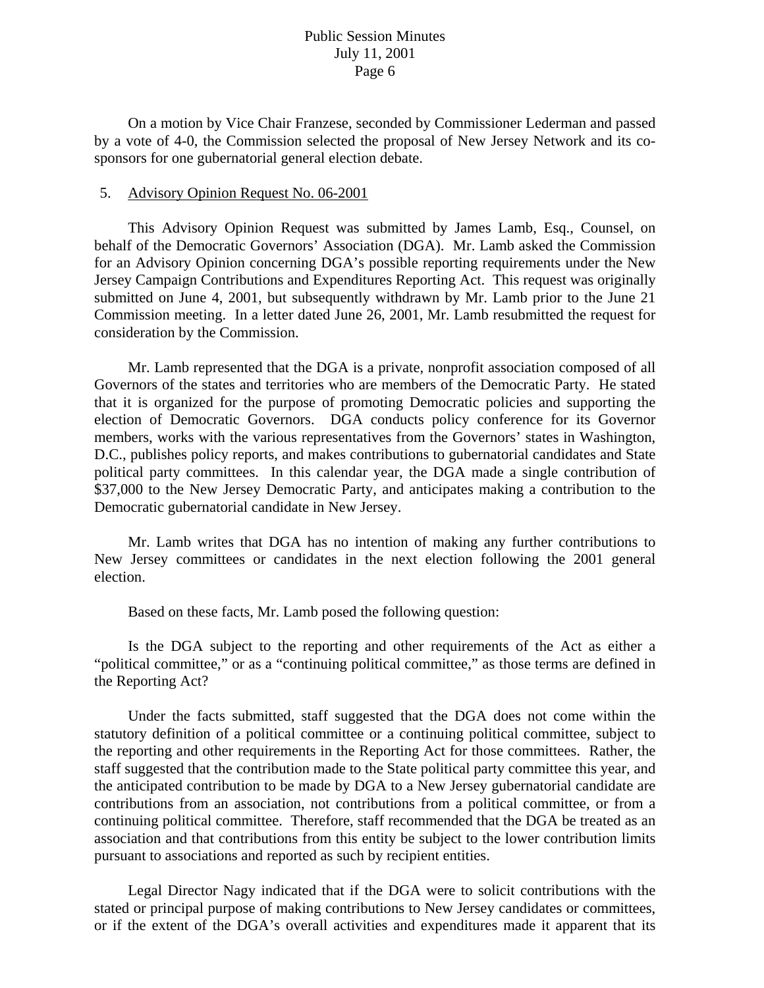On a motion by Vice Chair Franzese, seconded by Commissioner Lederman and passed by a vote of 4-0, the Commission selected the proposal of New Jersey Network and its cosponsors for one gubernatorial general election debate.

#### 5. Advisory Opinion Request No. 06-2001

 This Advisory Opinion Request was submitted by James Lamb, Esq., Counsel, on behalf of the Democratic Governors' Association (DGA). Mr. Lamb asked the Commission for an Advisory Opinion concerning DGA's possible reporting requirements under the New Jersey Campaign Contributions and Expenditures Reporting Act. This request was originally submitted on June 4, 2001, but subsequently withdrawn by Mr. Lamb prior to the June 21 Commission meeting. In a letter dated June 26, 2001, Mr. Lamb resubmitted the request for consideration by the Commission.

 Mr. Lamb represented that the DGA is a private, nonprofit association composed of all Governors of the states and territories who are members of the Democratic Party. He stated that it is organized for the purpose of promoting Democratic policies and supporting the election of Democratic Governors. DGA conducts policy conference for its Governor members, works with the various representatives from the Governors' states in Washington, D.C., publishes policy reports, and makes contributions to gubernatorial candidates and State political party committees. In this calendar year, the DGA made a single contribution of \$37,000 to the New Jersey Democratic Party, and anticipates making a contribution to the Democratic gubernatorial candidate in New Jersey.

 Mr. Lamb writes that DGA has no intention of making any further contributions to New Jersey committees or candidates in the next election following the 2001 general election.

Based on these facts, Mr. Lamb posed the following question:

 Is the DGA subject to the reporting and other requirements of the Act as either a "political committee," or as a "continuing political committee," as those terms are defined in the Reporting Act?

 Under the facts submitted, staff suggested that the DGA does not come within the statutory definition of a political committee or a continuing political committee, subject to the reporting and other requirements in the Reporting Act for those committees. Rather, the staff suggested that the contribution made to the State political party committee this year, and the anticipated contribution to be made by DGA to a New Jersey gubernatorial candidate are contributions from an association, not contributions from a political committee, or from a continuing political committee. Therefore, staff recommended that the DGA be treated as an association and that contributions from this entity be subject to the lower contribution limits pursuant to associations and reported as such by recipient entities.

 Legal Director Nagy indicated that if the DGA were to solicit contributions with the stated or principal purpose of making contributions to New Jersey candidates or committees, or if the extent of the DGA's overall activities and expenditures made it apparent that its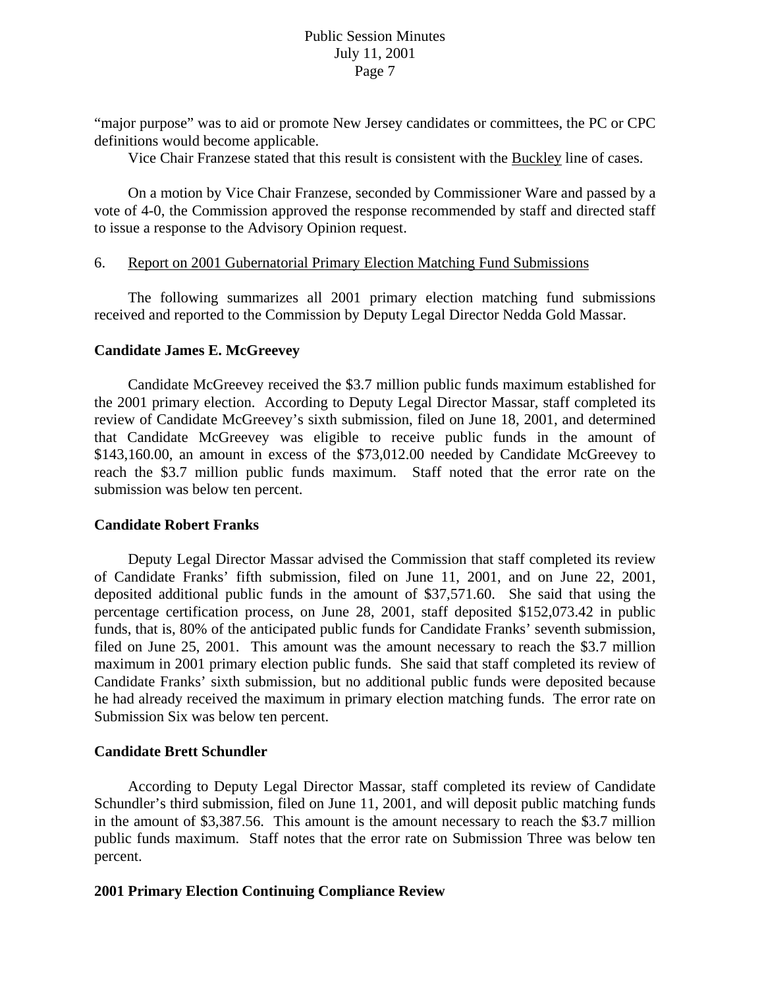"major purpose" was to aid or promote New Jersey candidates or committees, the PC or CPC definitions would become applicable.

Vice Chair Franzese stated that this result is consistent with the Buckley line of cases.

 On a motion by Vice Chair Franzese, seconded by Commissioner Ware and passed by a vote of 4-0, the Commission approved the response recommended by staff and directed staff to issue a response to the Advisory Opinion request.

#### 6. Report on 2001 Gubernatorial Primary Election Matching Fund Submissions

 The following summarizes all 2001 primary election matching fund submissions received and reported to the Commission by Deputy Legal Director Nedda Gold Massar.

#### **Candidate James E. McGreevey**

 Candidate McGreevey received the \$3.7 million public funds maximum established for the 2001 primary election. According to Deputy Legal Director Massar, staff completed its review of Candidate McGreevey's sixth submission, filed on June 18, 2001, and determined that Candidate McGreevey was eligible to receive public funds in the amount of \$143,160.00, an amount in excess of the \$73,012.00 needed by Candidate McGreevey to reach the \$3.7 million public funds maximum. Staff noted that the error rate on the submission was below ten percent.

#### **Candidate Robert Franks**

 Deputy Legal Director Massar advised the Commission that staff completed its review of Candidate Franks' fifth submission, filed on June 11, 2001, and on June 22, 2001, deposited additional public funds in the amount of \$37,571.60. She said that using the percentage certification process, on June 28, 2001, staff deposited \$152,073.42 in public funds, that is, 80% of the anticipated public funds for Candidate Franks' seventh submission, filed on June 25, 2001. This amount was the amount necessary to reach the \$3.7 million maximum in 2001 primary election public funds. She said that staff completed its review of Candidate Franks' sixth submission, but no additional public funds were deposited because he had already received the maximum in primary election matching funds. The error rate on Submission Six was below ten percent.

#### **Candidate Brett Schundler**

 According to Deputy Legal Director Massar, staff completed its review of Candidate Schundler's third submission, filed on June 11, 2001, and will deposit public matching funds in the amount of \$3,387.56. This amount is the amount necessary to reach the \$3.7 million public funds maximum. Staff notes that the error rate on Submission Three was below ten percent.

### **2001 Primary Election Continuing Compliance Review**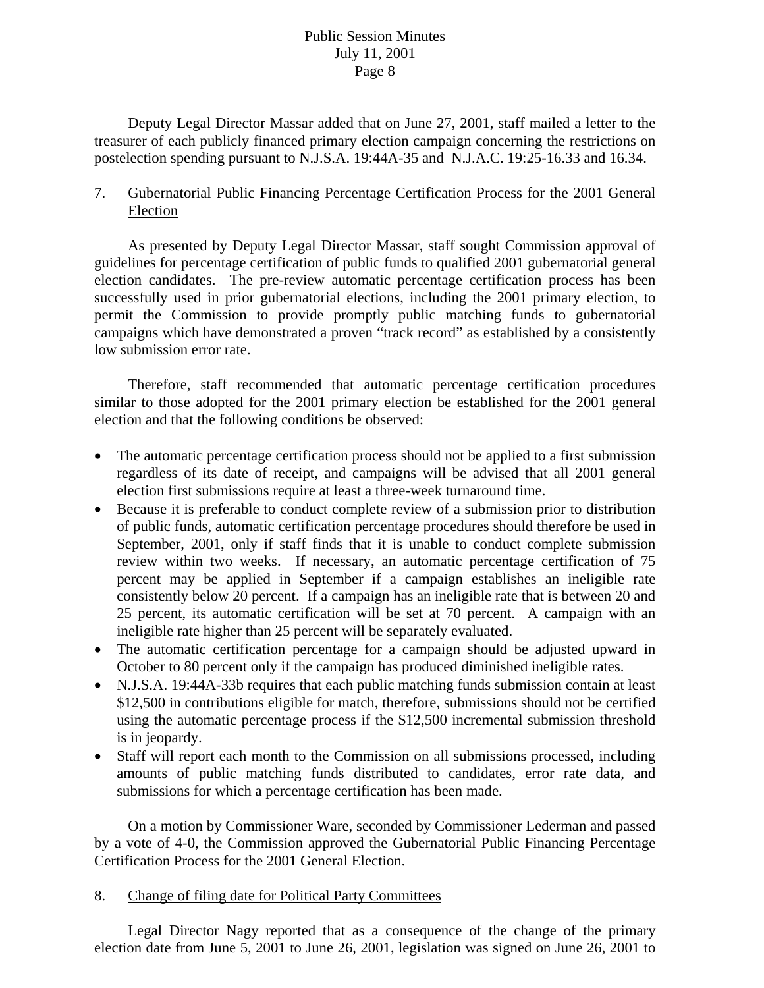Deputy Legal Director Massar added that on June 27, 2001, staff mailed a letter to the treasurer of each publicly financed primary election campaign concerning the restrictions on postelection spending pursuant to N.J.S.A. 19:44A-35 and N.J.A.C. 19:25-16.33 and 16.34.

## 7. Gubernatorial Public Financing Percentage Certification Process for the 2001 General Election

 As presented by Deputy Legal Director Massar, staff sought Commission approval of guidelines for percentage certification of public funds to qualified 2001 gubernatorial general election candidates. The pre-review automatic percentage certification process has been successfully used in prior gubernatorial elections, including the 2001 primary election, to permit the Commission to provide promptly public matching funds to gubernatorial campaigns which have demonstrated a proven "track record" as established by a consistently low submission error rate.

 Therefore, staff recommended that automatic percentage certification procedures similar to those adopted for the 2001 primary election be established for the 2001 general election and that the following conditions be observed:

- The automatic percentage certification process should not be applied to a first submission regardless of its date of receipt, and campaigns will be advised that all 2001 general election first submissions require at least a three-week turnaround time.
- Because it is preferable to conduct complete review of a submission prior to distribution of public funds, automatic certification percentage procedures should therefore be used in September, 2001, only if staff finds that it is unable to conduct complete submission review within two weeks. If necessary, an automatic percentage certification of 75 percent may be applied in September if a campaign establishes an ineligible rate consistently below 20 percent. If a campaign has an ineligible rate that is between 20 and 25 percent, its automatic certification will be set at 70 percent. A campaign with an ineligible rate higher than 25 percent will be separately evaluated.
- The automatic certification percentage for a campaign should be adjusted upward in October to 80 percent only if the campaign has produced diminished ineligible rates.
- N.J.S.A. 19:44A-33b requires that each public matching funds submission contain at least \$12,500 in contributions eligible for match, therefore, submissions should not be certified using the automatic percentage process if the \$12,500 incremental submission threshold is in jeopardy.
- Staff will report each month to the Commission on all submissions processed, including amounts of public matching funds distributed to candidates, error rate data, and submissions for which a percentage certification has been made.

 On a motion by Commissioner Ware, seconded by Commissioner Lederman and passed by a vote of 4-0, the Commission approved the Gubernatorial Public Financing Percentage Certification Process for the 2001 General Election.

## 8. Change of filing date for Political Party Committees

 Legal Director Nagy reported that as a consequence of the change of the primary election date from June 5, 2001 to June 26, 2001, legislation was signed on June 26, 2001 to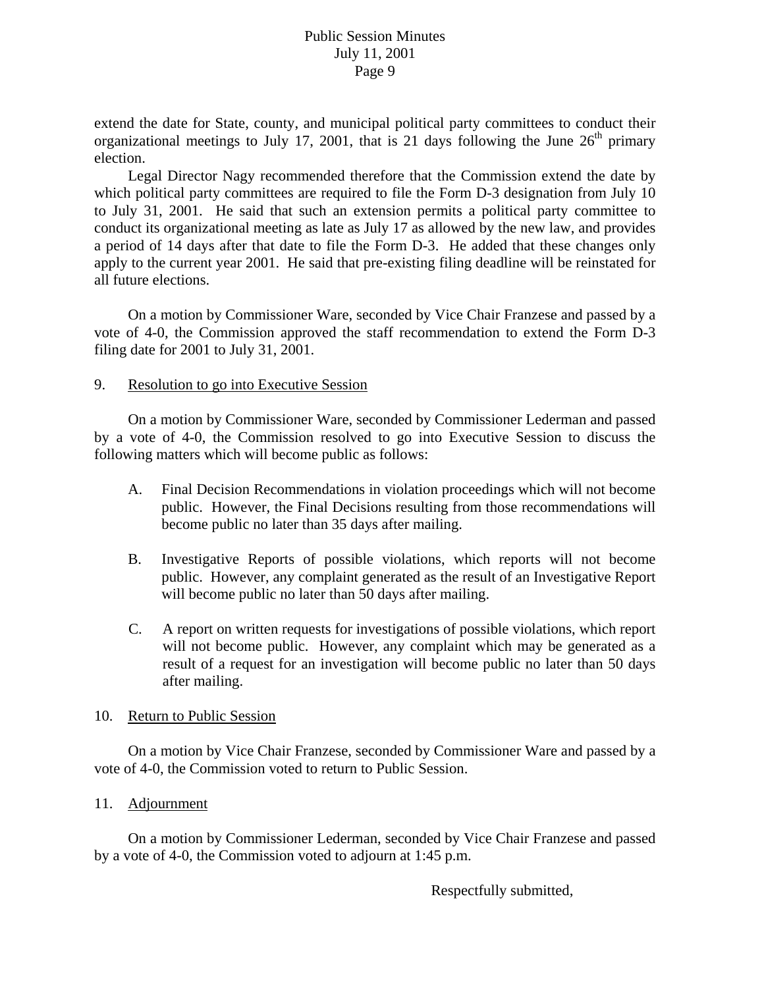extend the date for State, county, and municipal political party committees to conduct their organizational meetings to July 17, 2001, that is 21 days following the June  $26<sup>th</sup>$  primary election.

 Legal Director Nagy recommended therefore that the Commission extend the date by which political party committees are required to file the Form D-3 designation from July 10 to July 31, 2001. He said that such an extension permits a political party committee to conduct its organizational meeting as late as July 17 as allowed by the new law, and provides a period of 14 days after that date to file the Form D-3. He added that these changes only apply to the current year 2001. He said that pre-existing filing deadline will be reinstated for all future elections.

 On a motion by Commissioner Ware, seconded by Vice Chair Franzese and passed by a vote of 4-0, the Commission approved the staff recommendation to extend the Form D-3 filing date for 2001 to July 31, 2001.

## 9. Resolution to go into Executive Session

 On a motion by Commissioner Ware, seconded by Commissioner Lederman and passed by a vote of 4-0, the Commission resolved to go into Executive Session to discuss the following matters which will become public as follows:

- A. Final Decision Recommendations in violation proceedings which will not become public. However, the Final Decisions resulting from those recommendations will become public no later than 35 days after mailing.
- B. Investigative Reports of possible violations, which reports will not become public. However, any complaint generated as the result of an Investigative Report will become public no later than 50 days after mailing.
- C. A report on written requests for investigations of possible violations, which report will not become public. However, any complaint which may be generated as a result of a request for an investigation will become public no later than 50 days after mailing.

## 10. Return to Public Session

On a motion by Vice Chair Franzese, seconded by Commissioner Ware and passed by a vote of 4-0, the Commission voted to return to Public Session.

# 11. Adjournment

 On a motion by Commissioner Lederman, seconded by Vice Chair Franzese and passed by a vote of 4-0, the Commission voted to adjourn at 1:45 p.m.

Respectfully submitted,